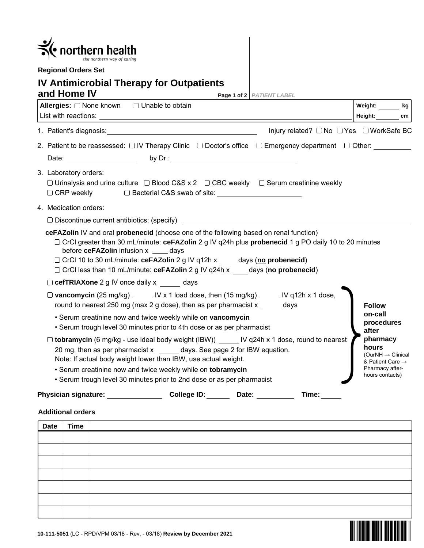| northern health                                                                                                                                                                                                                                                                                                                                                                                     |                                                                                                                          |  |  |  |
|-----------------------------------------------------------------------------------------------------------------------------------------------------------------------------------------------------------------------------------------------------------------------------------------------------------------------------------------------------------------------------------------------------|--------------------------------------------------------------------------------------------------------------------------|--|--|--|
| <b>Regional Orders Set</b>                                                                                                                                                                                                                                                                                                                                                                          |                                                                                                                          |  |  |  |
| <b>IV Antimicrobial Therapy for Outpatients</b><br>and Home IV<br>Page 1 of 2 PATIENT LABEL                                                                                                                                                                                                                                                                                                         |                                                                                                                          |  |  |  |
| Allergies: □ None known □ Unable to obtain                                                                                                                                                                                                                                                                                                                                                          | Weight: kg<br>Height:<br>cm                                                                                              |  |  |  |
| Injury related? □ No □ Yes □ WorkSafe BC                                                                                                                                                                                                                                                                                                                                                            |                                                                                                                          |  |  |  |
| 2. Patient to be reassessed: □ IV Therapy Clinic □ Doctor's office □ Emergency department □ Other:<br>Date: by Dr.: by Dr.:                                                                                                                                                                                                                                                                         |                                                                                                                          |  |  |  |
| 3. Laboratory orders:<br>$\Box$ Urinalysis and urine culture $\Box$ Blood C&S x 2 $\Box$ CBC weekly $\Box$ Serum creatinine weekly<br>□ CRP weekly □ Bacterial C&S swab of site:                                                                                                                                                                                                                    |                                                                                                                          |  |  |  |
| 4. Medication orders:                                                                                                                                                                                                                                                                                                                                                                               |                                                                                                                          |  |  |  |
| $\Box$ Discontinue current antibiotics: (specify)                                                                                                                                                                                                                                                                                                                                                   |                                                                                                                          |  |  |  |
| ceFAZolin IV and oral probenecid (choose one of the following based on renal function)<br>□ CrCl greater than 30 mL/minute: ceFAZolin 2 g IV q24h plus probenecid 1 g PO daily 10 to 20 minutes<br>before ceFAZolin infusion x _____ days<br>□ CrCl 10 to 30 mL/minute: ceFAZolin 2 g IV q12h x days (no probenecid)<br>□ CrCl less than 10 mL/minute: ceFAZolin 2 g IV q24h x days (no probenecid) |                                                                                                                          |  |  |  |
| $\Box$ cefTRIAXone 2 g IV once daily x days                                                                                                                                                                                                                                                                                                                                                         |                                                                                                                          |  |  |  |
| $\Box$ vancomycin (25 mg/kg) _____ IV x 1 load dose, then (15 mg/kg) _____ IV q12h x 1 dose,<br>round to nearest 250 mg (max 2 g dose), then as per pharmacist $x = 1$                                                                                                                                                                                                                              | <b>Follow</b><br>on-call                                                                                                 |  |  |  |
| • Serum creatinine now and twice weekly while on vancomycin<br>• Serum trough level 30 minutes prior to 4th dose or as per pharmacist                                                                                                                                                                                                                                                               | procedures<br>after                                                                                                      |  |  |  |
| □ tobramycin (6 mg/kg - use ideal body weight (IBW))<br>IV q24h x 1 dose, round to nearest<br>20 mg, then as per pharmacist x days. See page 2 for IBW equation.<br>Note: If actual body weight lower than IBW, use actual weight.<br>· Serum creatinine now and twice weekly while on tobramycin<br>• Serum trough level 30 minutes prior to 2nd dose or as per pharmacist                         | pharmacy<br>hours<br>(OurNH $\rightarrow$ Clinical<br>& Patient Care $\rightarrow$<br>Pharmacy after-<br>hours contacts) |  |  |  |
| College ID:<br><b>Physician signature:</b><br>Time:<br>Date:                                                                                                                                                                                                                                                                                                                                        |                                                                                                                          |  |  |  |

## **Additional orders**

| Date                                                                    | <b>Time</b> |  |  |
|-------------------------------------------------------------------------|-------------|--|--|
|                                                                         |             |  |  |
|                                                                         |             |  |  |
|                                                                         |             |  |  |
|                                                                         |             |  |  |
|                                                                         |             |  |  |
|                                                                         |             |  |  |
|                                                                         |             |  |  |
| 10-111-5051 (LC - RPD/VPM 03/18 - Rev. - 03/18) Review by December 2021 |             |  |  |